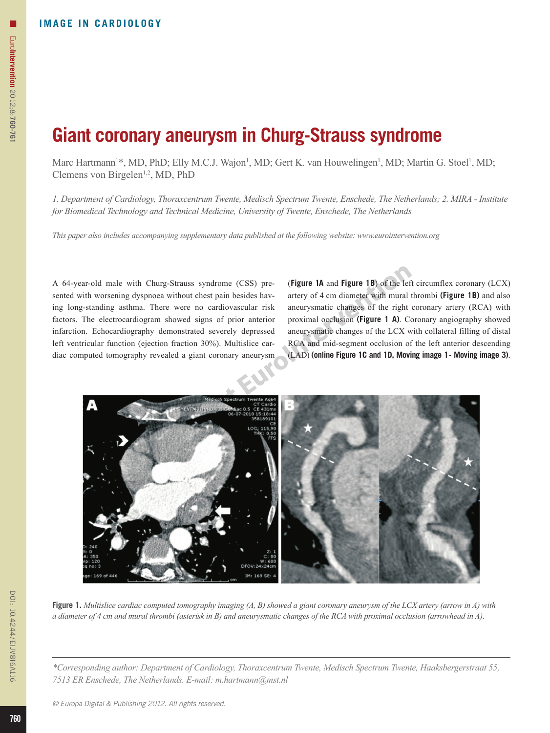## **Giant coronary aneurysm in Churg-Strauss syndrome**

Marc Hartmann<sup>1\*</sup>, MD, PhD; Elly M.C.J. Wajon<sup>1</sup>, MD; Gert K. van Houwelingen<sup>1</sup>, MD; Martin G. Stoel<sup>1</sup>, MD; Clemens von Birgelen<sup>1,2</sup>, MD, PhD

*1. Department of Cardiology, Thoraxcentrum Twente, Medisch Spectrum Twente, Enschede, The Netherlands; 2. MIRA - Institute for Biomedical Technology and Technical Medicine, University of Twente, Enschede, The Netherlands*

*This paper also includes accompanying supplementary data published at the following website: www.eurointervention.org*

A 64-year-old male with Churg-Strauss syndrome (CSS) presented with worsening dyspnoea without chest pain besides having long-standing asthma. There were no cardiovascular risk factors. The electrocardiogram showed signs of prior anterior infarction. Echocardiography demonstrated severely depressed left ventricular function (ejection fraction 30%). Multislice cardiac computed tomography revealed a giant coronary aneurysm (**Figure 1A** and **Figure 1B**) of the left circumflex coronary (LCX) artery of 4 cm diameter with mural thrombi **(Figure 1B)** and also aneurysmatic changes of the right coronary artery (RCA) with proximal occlusion **(Figure 1 A)**. Coronary angiography showed aneurysmatic changes of the LCX with collateral filling of distal RCA and mid-segment occlusion of the left anterior descending (LAD) **(online Figure 1C and 1D, Moving image 1 - Moving image 3)**.



**Figure 1.** *Multislice cardiac computed tomography imaging (A, B) showed a giant coronary aneurysm of the LCX artery (arrow in A) with a diameter of 4 cm and mural thrombi (asterisk in B) and aneurysmatic changes of the RCA with proximal occlusion (arrowhead in A).*

*\*Corresponding author: Department of Cardiology, Thoraxcentrum Twente, Medisch Spectrum Twente, Haaksbergerstraat 55, 7513 ER Enschede, The Netherlands. E-mail: m.hartmann@mst.nl*

n